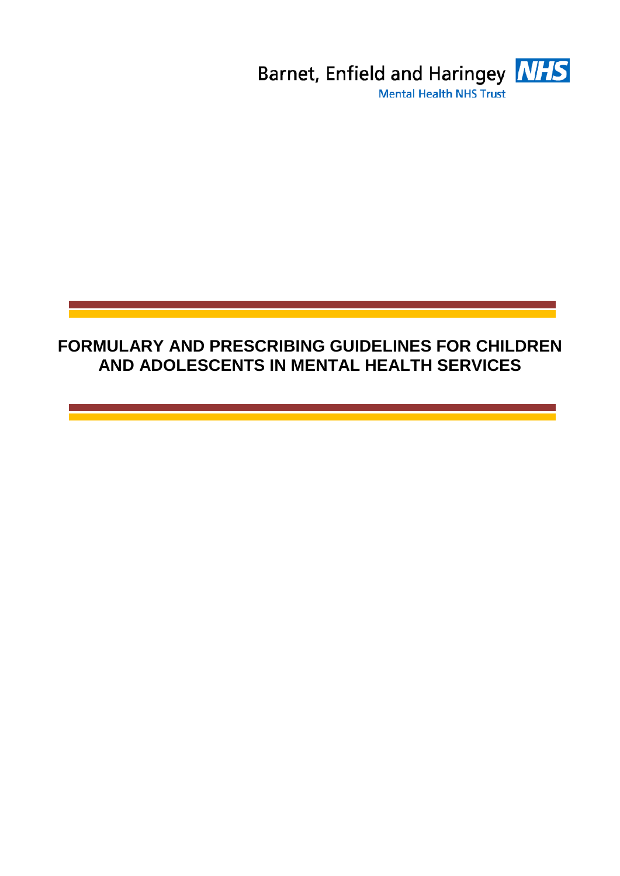

### **FORMULARY AND PRESCRIBING GUIDELINES FOR CHILDREN AND ADOLESCENTS IN MENTAL HEALTH SERVICES**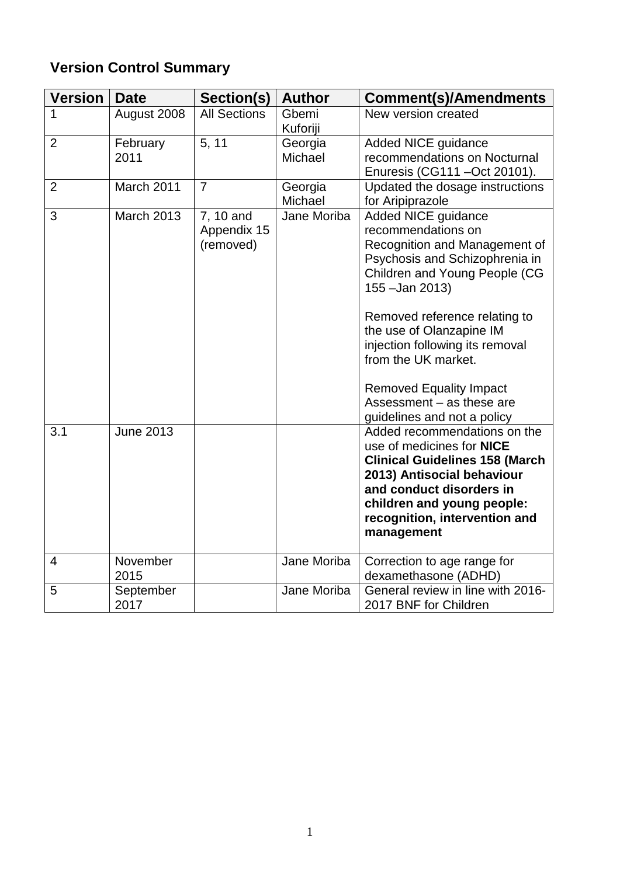## **Version Control Summary**

| <b>Version</b> | <b>Date</b>       | Section(s)                            | <b>Author</b>      | <b>Comment(s)/Amendments</b>                                                                                                                                                                                                                                                                                                                                                                 |
|----------------|-------------------|---------------------------------------|--------------------|----------------------------------------------------------------------------------------------------------------------------------------------------------------------------------------------------------------------------------------------------------------------------------------------------------------------------------------------------------------------------------------------|
| 1              | August 2008       | <b>All Sections</b>                   | Gbemi<br>Kuforiji  | New version created                                                                                                                                                                                                                                                                                                                                                                          |
| $\overline{2}$ | February<br>2011  | 5, 11                                 | Georgia<br>Michael | Added NICE guidance<br>recommendations on Nocturnal<br>Enuresis (CG111 - Oct 20101).                                                                                                                                                                                                                                                                                                         |
| $\overline{2}$ | March 2011        | $\overline{7}$                        | Georgia<br>Michael | Updated the dosage instructions<br>for Aripiprazole                                                                                                                                                                                                                                                                                                                                          |
| 3              | <b>March 2013</b> | 7, 10 and<br>Appendix 15<br>(removed) | Jane Moriba        | <b>Added NICE guidance</b><br>recommendations on<br>Recognition and Management of<br>Psychosis and Schizophrenia in<br>Children and Young People (CG<br>155 - Jan 2013)<br>Removed reference relating to<br>the use of Olanzapine IM<br>injection following its removal<br>from the UK market.<br><b>Removed Equality Impact</b><br>Assessment - as these are<br>guidelines and not a policy |
| 3.1            | <b>June 2013</b>  |                                       |                    | Added recommendations on the<br>use of medicines for <b>NICE</b><br><b>Clinical Guidelines 158 (March</b><br>2013) Antisocial behaviour<br>and conduct disorders in<br>children and young people:<br>recognition, intervention and<br>management                                                                                                                                             |
| $\overline{4}$ | November<br>2015  |                                       | Jane Moriba        | Correction to age range for<br>dexamethasone (ADHD)                                                                                                                                                                                                                                                                                                                                          |
| 5              | September<br>2017 |                                       | Jane Moriba        | General review in line with 2016-<br>2017 BNF for Children                                                                                                                                                                                                                                                                                                                                   |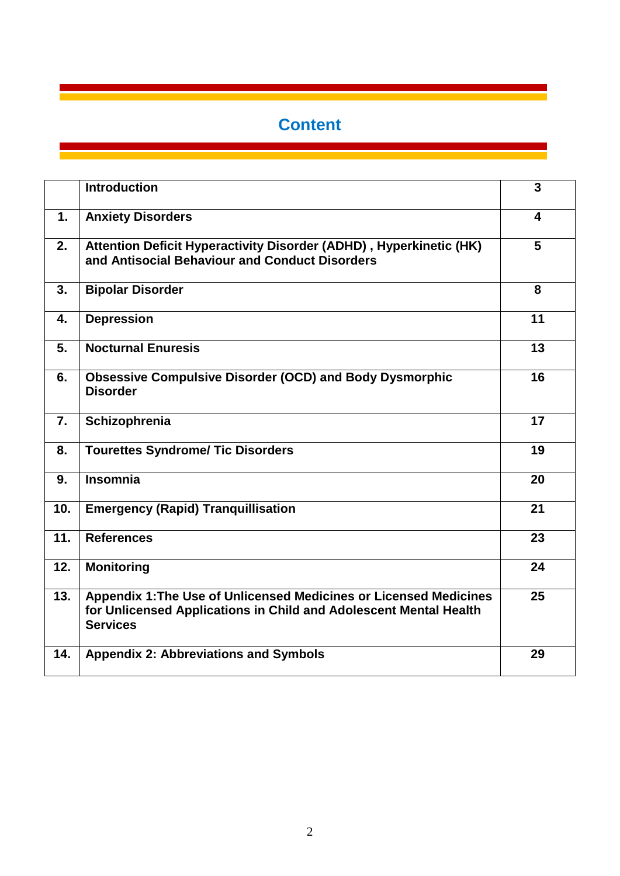# **Content**

|     | <b>Introduction</b>                                                                                                                                       | $\overline{\mathbf{3}}$ |
|-----|-----------------------------------------------------------------------------------------------------------------------------------------------------------|-------------------------|
| 1.  | <b>Anxiety Disorders</b>                                                                                                                                  | 4                       |
| 2.  | Attention Deficit Hyperactivity Disorder (ADHD), Hyperkinetic (HK)<br>and Antisocial Behaviour and Conduct Disorders                                      | 5                       |
| 3.  | <b>Bipolar Disorder</b>                                                                                                                                   | 8                       |
| 4.  | <b>Depression</b>                                                                                                                                         | 11                      |
| 5.  | <b>Nocturnal Enuresis</b>                                                                                                                                 | 13                      |
| 6.  | <b>Obsessive Compulsive Disorder (OCD) and Body Dysmorphic</b><br><b>Disorder</b>                                                                         | 16                      |
| 7.  | Schizophrenia                                                                                                                                             | 17                      |
| 8.  | <b>Tourettes Syndrome/ Tic Disorders</b>                                                                                                                  | 19                      |
| 9.  | <b>Insomnia</b>                                                                                                                                           | 20                      |
| 10. | <b>Emergency (Rapid) Tranquillisation</b>                                                                                                                 | 21                      |
| 11. | <b>References</b>                                                                                                                                         | 23                      |
| 12. | <b>Monitoring</b>                                                                                                                                         | 24                      |
| 13. | Appendix 1: The Use of Unlicensed Medicines or Licensed Medicines<br>for Unlicensed Applications in Child and Adolescent Mental Health<br><b>Services</b> | 25                      |
| 14. | <b>Appendix 2: Abbreviations and Symbols</b>                                                                                                              | 29                      |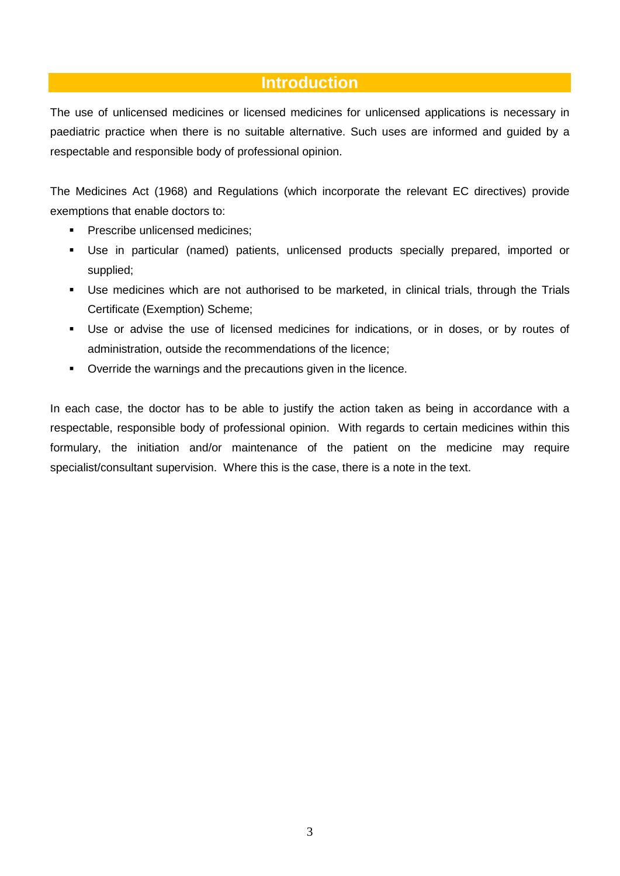### **Introduction**

The use of unlicensed medicines or licensed medicines for unlicensed applications is necessary in paediatric practice when there is no suitable alternative. Such uses are informed and guided by a respectable and responsible body of professional opinion.

The Medicines Act (1968) and Regulations (which incorporate the relevant EC directives) provide exemptions that enable doctors to:

- **Prescribe unlicensed medicines:**
- Use in particular (named) patients, unlicensed products specially prepared, imported or supplied;
- Use medicines which are not authorised to be marketed, in clinical trials, through the Trials Certificate (Exemption) Scheme;
- Use or advise the use of licensed medicines for indications, or in doses, or by routes of administration, outside the recommendations of the licence;
- Override the warnings and the precautions given in the licence.

In each case, the doctor has to be able to justify the action taken as being in accordance with a respectable, responsible body of professional opinion. With regards to certain medicines within this formulary, the initiation and/or maintenance of the patient on the medicine may require specialist/consultant supervision. Where this is the case, there is a note in the text.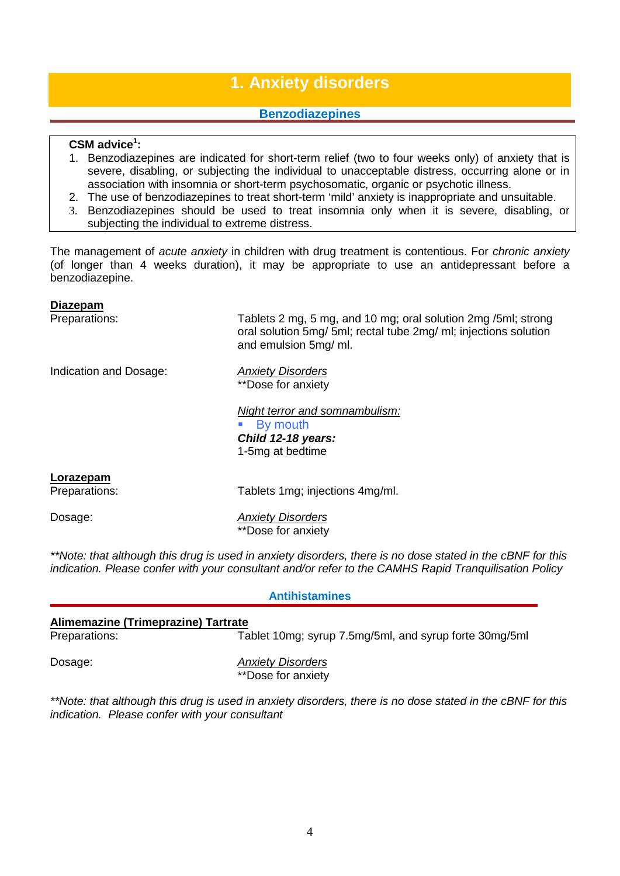### **1. Anxiety disorders**

#### **Benzodiazepines**

#### **CSM advice1 :**

- 1. Benzodiazepines are indicated for short-term relief (two to four weeks only) of anxiety that is severe, disabling, or subjecting the individual to unacceptable distress, occurring alone or in association with insomnia or short-term psychosomatic, organic or psychotic illness.
- 2. The use of benzodiazepines to treat short-term 'mild' anxiety is inappropriate and unsuitable.
- 3. Benzodiazepines should be used to treat insomnia only when it is severe, disabling, or subjecting the individual to extreme distress.

The management of *acute anxiety* in children with drug treatment is contentious. For *chronic anxiety* (of longer than 4 weeks duration), it may be appropriate to use an antidepressant before a benzodiazepine.

#### **Diazepam**

Preparations: Tablets 2 mg, 5 mg, and 10 mg; oral solution 2mg /5ml; strong oral solution 5mg/ 5ml; rectal tube 2mg/ ml; injections solution and emulsion 5mg/ ml.

Indication and Dosage: *Anxiety Disorders*

\*\*Dose for anxiety

*Night terror and somnambulism:* By mouth *Child 12-18 years:* 1-5mg at bedtime

#### **Lorazepam**

Preparations: Tablets 1mg; injections 4mg/ml.

Dosage: *Anxiety Disorders* \*\*Dose for anxiety

*\*\*Note: that although this drug is used in anxiety disorders, there is no dose stated in the cBNF for this indication. Please confer with your consultant and/or refer to the CAMHS Rapid Tranquilisation Policy*

#### **Antihistamines**

### **Alimemazine (Trimeprazine) Tartrate** Tablet 10mg; syrup 7.5mg/5ml, and syrup forte 30mg/5ml Dosage: *Anxiety Disorders*

\*\*Dose for anxiety

*\*\*Note: that although this drug is used in anxiety disorders, there is no dose stated in the cBNF for this indication. Please confer with your consultant*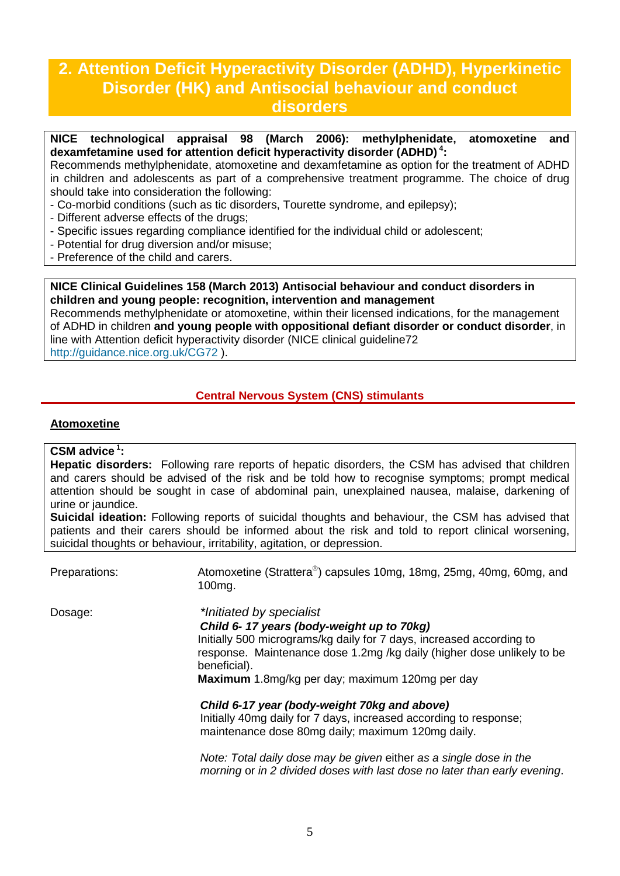### **2. Attention Deficit Hyperactivity Disorder (ADHD), Hyperkinetic Disorder (HK) and Antisocial behaviour and conduct disorders**

**NICE technological appraisal 98 (March 2006): methylphenidate, atomoxetine and dexamfetamine used for attention deficit hyperactivity disorder (ADHD) <sup>4</sup> :**

Recommends methylphenidate, atomoxetine and dexamfetamine as option for the treatment of ADHD in children and adolescents as part of a comprehensive treatment programme. The choice of drug should take into consideration the following:

- Co-morbid conditions (such as tic disorders, Tourette syndrome, and epilepsy);
- Different adverse effects of the drugs;
- Specific issues regarding compliance identified for the individual child or adolescent;
- Potential for drug diversion and/or misuse;
- Preference of the child and carers.

**NICE Clinical Guidelines 158 (March 2013) Antisocial behaviour and conduct disorders in children and young people: recognition, intervention and management**

Recommends methylphenidate or atomoxetine, within their licensed indications, for the management of ADHD in children **and young people with oppositional defiant disorder or conduct disorder**, in line with Attention deficit hyperactivity disorder (NICE clinical guideline72 <http://guidance.nice.org.uk/CG72> ).

#### **Central Nervous System (CNS) stimulants**

#### **Atomoxetine**

#### **CSM advice <sup>1</sup> :**

**Hepatic disorders:** Following rare reports of hepatic disorders, the CSM has advised that children and carers should be advised of the risk and be told how to recognise symptoms; prompt medical attention should be sought in case of abdominal pain, unexplained nausea, malaise, darkening of urine or jaundice.

**Suicidal ideation:** Following reports of suicidal thoughts and behaviour, the CSM has advised that patients and their carers should be informed about the risk and told to report clinical worsening, suicidal thoughts or behaviour, irritability, agitation, or depression.

Preparations: Atomoxetine (Strattera<sup>®</sup>) capsules 10mg, 18mg, 25mg, 40mg, 60mg, and 100mg.

Dosage: *\*Initiated by specialist*

*Child 6- 17 years (body-weight up to 70kg)*

Initially 500 micrograms/kg daily for 7 days, increased according to response. Maintenance dose 1.2mg /kg daily (higher dose unlikely to be beneficial).

**Maximum** 1.8mg/kg per day; maximum 120mg per day

*Child 6-17 year (body-weight 70kg and above)* Initially 40mg daily for 7 days, increased according to response; maintenance dose 80mg daily; maximum 120mg daily.

*Note: Total daily dose may be given* either *as a single dose in the morning* or *in 2 divided doses with last dose no later than early evening*.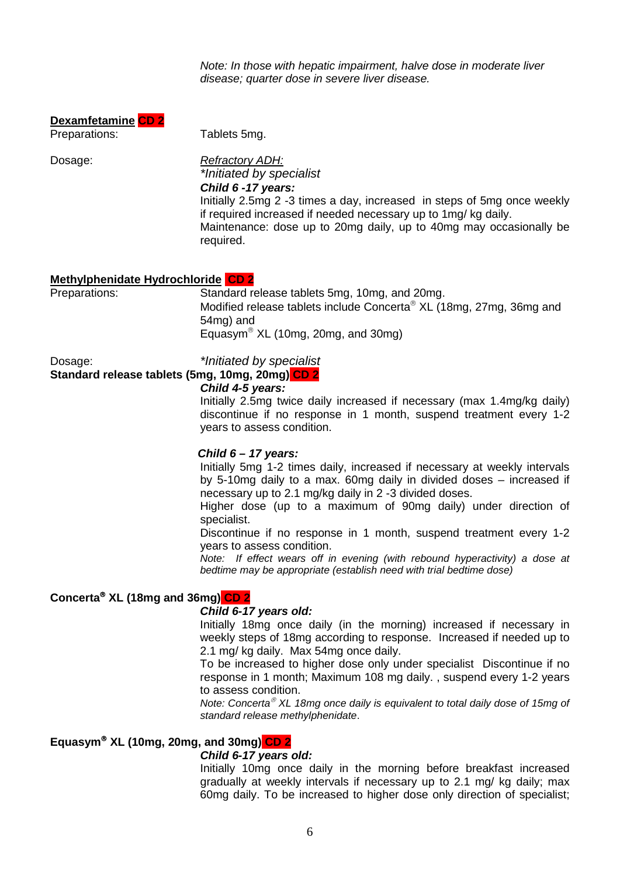*Note: In those with hepatic impairment, halve dose in moderate liver disease; quarter dose in severe liver disease.*

| <b>Dexamfetamine CD 2</b> |  |
|---------------------------|--|
|                           |  |

Preparations: Tablets 5mg.

### Dosage: *Refractory ADH:*

*\*Initiated by specialist*

#### *Child 6 -17 years:*

Initially 2.5mg 2 -3 times a day, increased in steps of 5mg once weekly if required increased if needed necessary up to 1mg/ kg daily. Maintenance: dose up to 20mg daily, up to 40mg may occasionally be required.

#### **Methylphenidate Hydrochloride CD 2**

Preparations: Standard release tablets 5mg, 10mg, and 20mg. Modified release tablets include Concerta<sup>®</sup>  $XL$  (18mg, 27mg, 36mg and 54mg) and Equasym<sup>®</sup> XL (10mg, 20mg, and 30mg)

#### Dosage: *\*Initiated by specialist* **Standard release tablets (5mg, 10mg, 20mg) CD 2**

#### *Child 4-5 years:*

Initially 2.5mg twice daily increased if necessary (max 1.4mg/kg daily) discontinue if no response in 1 month, suspend treatment every 1-2 years to assess condition.

#### *Child 6 – 17 years:*

Initially 5mg 1-2 times daily, increased if necessary at weekly intervals by 5-10mg daily to a max. 60mg daily in divided doses – increased if necessary up to 2.1 mg/kg daily in 2 -3 divided doses.

Higher dose (up to a maximum of 90mg daily) under direction of specialist.

Discontinue if no response in 1 month, suspend treatment every 1-2 years to assess condition.

*Note: If effect wears off in evening (with rebound hyperactivity) a dose at bedtime may be appropriate (establish need with trial bedtime dose)*

#### **Concerta XL (18mg and 36mg) CD 2**

#### *Child 6-17 years old:*

Initially 18mg once daily (in the morning) increased if necessary in weekly steps of 18mg according to response. Increased if needed up to 2.1 mg/ kg daily. Max 54mg once daily.

To be increased to higher dose only under specialist Discontinue if no response in 1 month; Maximum 108 mg daily. , suspend every 1-2 years to assess condition.

*Note: Concerta<sup>®</sup> XL 18mg once daily is equivalent to total daily dose of 15mg of standard release methylphenidate*.

#### **Equasym XL (10mg, 20mg, and 30mg) CD 2**

#### *Child 6-17 years old:*

Initially 10mg once daily in the morning before breakfast increased gradually at weekly intervals if necessary up to 2.1 mg/ kg daily; max 60mg daily. To be increased to higher dose only direction of specialist;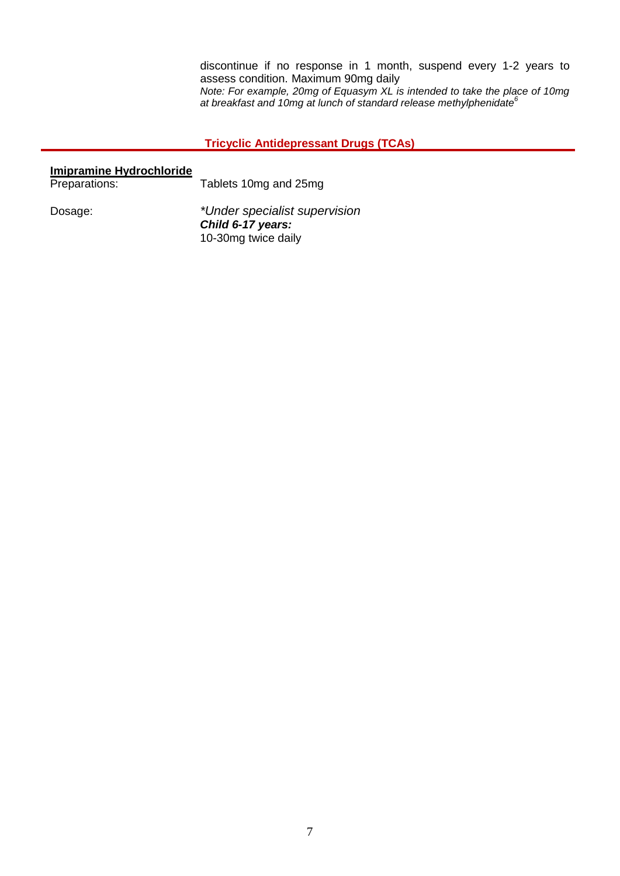discontinue if no response in 1 month, suspend every 1-2 years to assess condition. Maximum 90mg daily *Note: For example, 20mg of Equasym XL is intended to take the place of 10mg at breakfast and 10mg at lunch of standard release methylphenidate<sup>6</sup>*

#### **Tricyclic Antidepressant Drugs (TCAs)**

| <b>Imipramine Hydrochloride</b> |                                                                           |
|---------------------------------|---------------------------------------------------------------------------|
| Preparations:                   | Tablets 10mg and 25mg                                                     |
| Dosage:                         | *Under specialist supervision<br>Child 6-17 years:<br>10-30mg twice daily |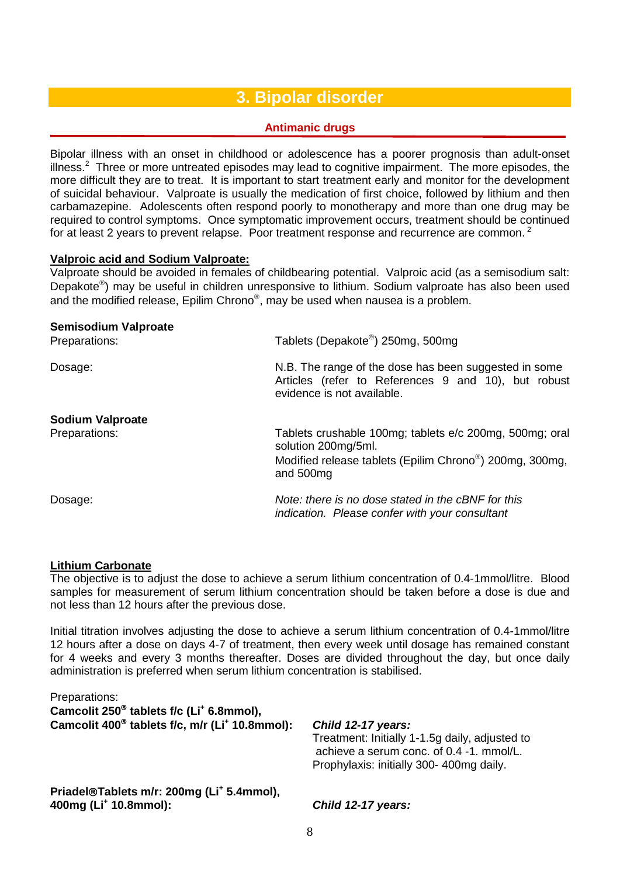### **3. Bipolar disorder**

#### **Antimanic drugs**

Bipolar illness with an onset in childhood or adolescence has a poorer prognosis than adult-onset illness.<sup>2</sup> Three or more untreated episodes may lead to cognitive impairment. The more episodes, the more difficult they are to treat. It is important to start treatment early and monitor for the development of suicidal behaviour. Valproate is usually the medication of first choice, followed by lithium and then carbamazepine. Adolescents often respond poorly to monotherapy and more than one drug may be required to control symptoms. Once symptomatic improvement occurs, treatment should be continued for at least 2 years to prevent relapse. Poor treatment response and recurrence are common.<sup>2</sup>

#### **Valproic acid and Sodium Valproate:**

Valproate should be avoided in females of childbearing potential. Valproic acid (as a semisodium salt: Depakote<sup>®</sup>) may be useful in children unresponsive to lithium. Sodium valproate has also been used and the modified release, Epilim Chrono®, may be used when nausea is a problem.

| Semisodium Valproate<br>Preparations: | Tablets (Depakote®) 250mg, 500mg                                                                                                           |
|---------------------------------------|--------------------------------------------------------------------------------------------------------------------------------------------|
| Dosage:                               | N.B. The range of the dose has been suggested in some<br>Articles (refer to References 9 and 10), but robust<br>evidence is not available. |
| <b>Sodium Valproate</b>               |                                                                                                                                            |
| Preparations:                         | Tablets crushable 100mg; tablets e/c 200mg, 500mg; oral<br>solution 200mg/5ml.                                                             |
|                                       | Modified release tablets (Epilim Chrono®) 200mg, 300mg,<br>and 500mg                                                                       |
| Dosage:                               | Note: there is no dose stated in the cBNF for this<br>indication. Please confer with your consultant                                       |

#### **Lithium Carbonate**

The objective is to adjust the dose to achieve a serum lithium concentration of 0.4-1mmol/litre. Blood samples for measurement of serum lithium concentration should be taken before a dose is due and not less than 12 hours after the previous dose.

Initial titration involves adjusting the dose to achieve a serum lithium concentration of 0.4-1mmol/litre 12 hours after a dose on days 4-7 of treatment, then every week until dosage has remained constant for 4 weeks and every 3 months thereafter. Doses are divided throughout the day, but once daily administration is preferred when serum lithium concentration is stabilised.

| Priadel®Tablets m/r: 200mg (Li <sup>+</sup> 5.4mmol),<br>400mg (Li <sup>+</sup> 10.8mmol):                                                                  | Child 12-17 years:                                                                                                                                          |
|-------------------------------------------------------------------------------------------------------------------------------------------------------------|-------------------------------------------------------------------------------------------------------------------------------------------------------------|
| Preparations:<br>Camcolit 250 <sup>®</sup> tablets f/c (Li <sup>+</sup> 6.8mmol),<br>Camcolit 400 <sup>®</sup> tablets f/c, m/r (Li <sup>+</sup> 10.8mmol): | Child 12-17 years:<br>Treatment: Initially 1-1.5g daily, adjusted to<br>achieve a serum conc. of 0.4 -1, mmol/L.<br>Prophylaxis: initially 300-400mg daily. |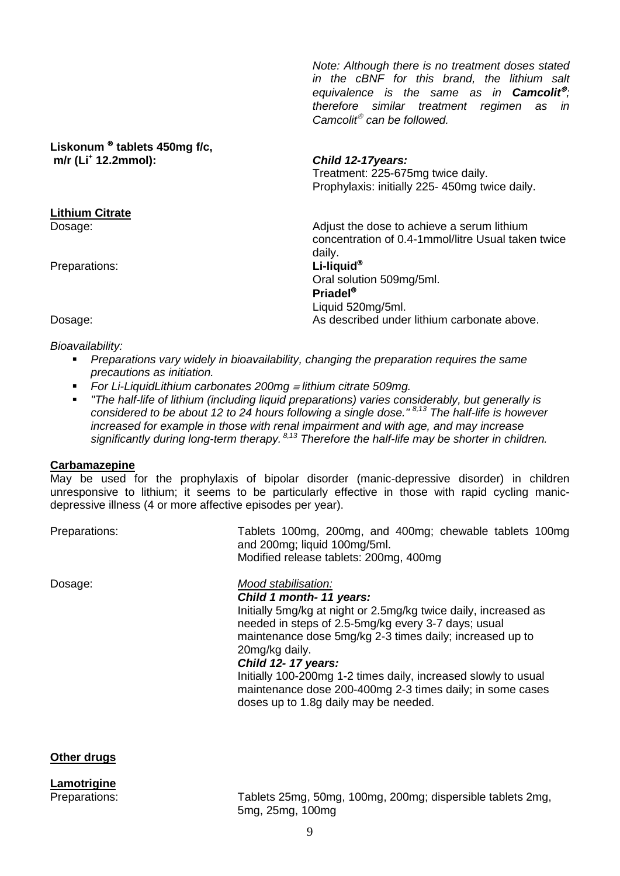*Note: Although there is no treatment doses stated in the cBNF for this brand, the lithium salt equivalence is the same as in Camcolit<sup>®</sup>: therefore similar treatment regimen as in Camcolit®* can be followed.

#### Liskonum<sup>®</sup> tablets 450mg f/c, **m/r (Li+ 12.2mmol):** *Child 12-17years:*

Treatment: 225-675mg twice daily. Prophylaxis: initially 225- 450mg twice daily.

Adjust the dose to achieve a serum lithium concentration of 0.4-1mmol/litre Usual taken twice daily. Preparations: **Li-liquid**<sup>®</sup> Oral solution 509mg/5ml. **Priadel** Liquid 520mg/5ml.

Dosage: As described under lithium carbonate above.

*Bioavailability:*

**Lithium Citrate**

- *Preparations vary widely in bioavailability, changing the preparation requires the same precautions as initiation.*
- *For Li-LiquidLithium carbonates 200mg* <sup>≡</sup> *lithium citrate 509mg.*
- *"The half-life of lithium (including liquid preparations) varies considerably, but generally is considered to be about 12 to 24 hours following a single dose." 8,13 The half-life is however increased for example in those with renal impairment and with age, and may increase significantly during long-term therapy. 8,13 Therefore the half-life may be shorter in children.*

#### **Carbamazepine**

May be used for the prophylaxis of bipolar disorder (manic-depressive disorder) in children unresponsive to lithium; it seems to be particularly effective in those with rapid cycling manicdepressive illness (4 or more affective episodes per year).

and 200mg; liquid 100mg/5ml.

Modified release tablets: 200mg, 400mg

Preparations: Tablets 100mg, 200mg, and 400mg; chewable tablets 100mg

#### Dosage: *Mood stabilisation:*

*Child 1 month- 11 years:*

Initially 5mg/kg at night or 2.5mg/kg twice daily, increased as needed in steps of 2.5-5mg/kg every 3-7 days; usual maintenance dose 5mg/kg 2-3 times daily; increased up to 20mg/kg daily.

#### *Child 12- 17 years:*

Initially 100-200mg 1-2 times daily, increased slowly to usual maintenance dose 200-400mg 2-3 times daily; in some cases doses up to 1.8g daily may be needed.

#### **Other drugs**

**Lamotrigine**

Preparations: Tablets 25mg, 50mg, 100mg, 200mg; dispersible tablets 2mg, 5mg, 25mg, 100mg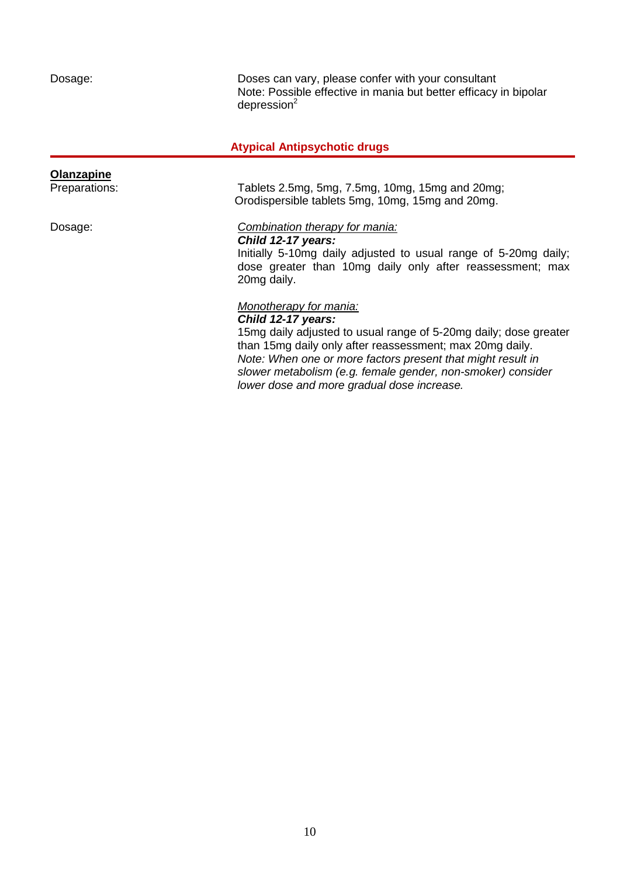Dosage: Doses can vary, please confer with your consultant Note: Possible effective in mania but better efficacy in bipolar  $d$ epression $2$ 

#### **Atypical Antipsychotic drugs**

### **Olanzapine**<br>Preparations: Tablets 2.5mg, 5mg, 7.5mg, 10mg, 15mg and 20mg; Orodispersible tablets 5mg, 10mg, 15mg and 20mg. Dosage: *Combination therapy for mania: Child 12-17 years:* Initially 5-10mg daily adjusted to usual range of 5-20mg daily; dose greater than 10mg daily only after reassessment; max 20mg daily.

#### *Monotherapy for mania:*

*Child 12-17 years:* 15mg daily adjusted to usual range of 5-20mg daily; dose greater than 15mg daily only after reassessment; max 20mg daily. *Note: When one or more factors present that might result in slower metabolism (e.g. female gender, non-smoker) consider lower dose and more gradual dose increase.*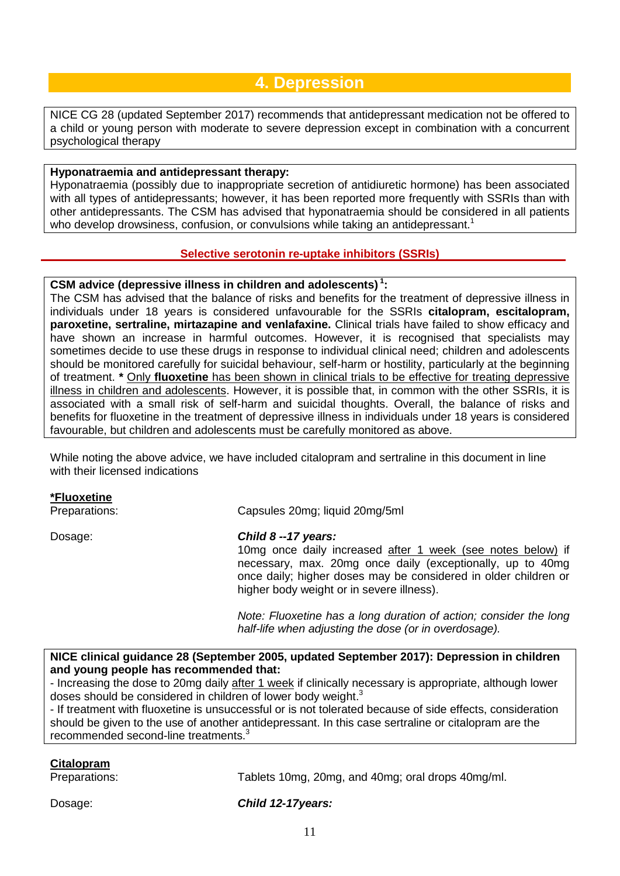### **4. Depression**

NICE CG 28 (updated September 2017) recommends that antidepressant medication not be offered to a child or young person with moderate to severe depression except in combination with a concurrent psychological therapy

#### **Hyponatraemia and antidepressant therapy:**

Hyponatraemia (possibly due to inappropriate secretion of antidiuretic hormone) has been associated with all types of antidepressants; however, it has been reported more frequently with SSRIs than with other antidepressants. The CSM has advised that hyponatraemia should be considered in all patients who develop drowsiness, confusion, or convulsions while taking an antidepressant.<sup>1</sup>

#### **Selective serotonin re-uptake inhibitors (SSRIs)**

#### **CSM advice (depressive illness in children and adolescents) <sup>1</sup> :**

The CSM has advised that the balance of risks and benefits for the treatment of depressive illness in individuals under 18 years is considered unfavourable for the SSRIs **citalopram, escitalopram, paroxetine, sertraline, mirtazapine and venlafaxine.** Clinical trials have failed to show efficacy and have shown an increase in harmful outcomes. However, it is recognised that specialists may sometimes decide to use these drugs in response to individual clinical need; children and adolescents should be monitored carefully for suicidal behaviour, self-harm or hostility, particularly at the beginning of treatment. **\*** Only **fluoxetine** has been shown in clinical trials to be effective for treating depressive illness in children and adolescents. However, it is possible that, in common with the other SSRIs, it is associated with a small risk of self-harm and suicidal thoughts. Overall, the balance of risks and benefits for fluoxetine in the treatment of depressive illness in individuals under 18 years is considered favourable, but children and adolescents must be carefully monitored as above.

While noting the above advice, we have included citalopram and sertraline in this document in line with their licensed indications

#### **\*Fluoxetine**

Preparations: Capsules 20mg; liquid 20mg/5ml

#### Dosage: *Child 8 --17 years:*

10mg once daily increased after 1 week (see notes below) if necessary, max. 20mg once daily (exceptionally, up to 40mg once daily; higher doses may be considered in older children or higher body weight or in severe illness).

*Note: Fluoxetine has a long duration of action; consider the long half-life when adjusting the dose (or in overdosage).*

**NICE clinical guidance 28 (September 2005, updated September 2017): Depression in children and young people has recommended that:**

- Increasing the dose to 20mg daily after 1 week if clinically necessary is appropriate, although lower doses should be considered in children of lower body weight.<sup>3</sup>

- If treatment with fluoxetine is unsuccessful or is not tolerated because of side effects, consideration should be given to the use of another antidepressant. In this case sertraline or citalopram are the recommended second-line treatments.<sup>3</sup>

#### **Citalopram**

Preparations: Tablets 10mg, 20mg, and 40mg; oral drops 40mg/ml.

Dosage: *Child 12-17years:*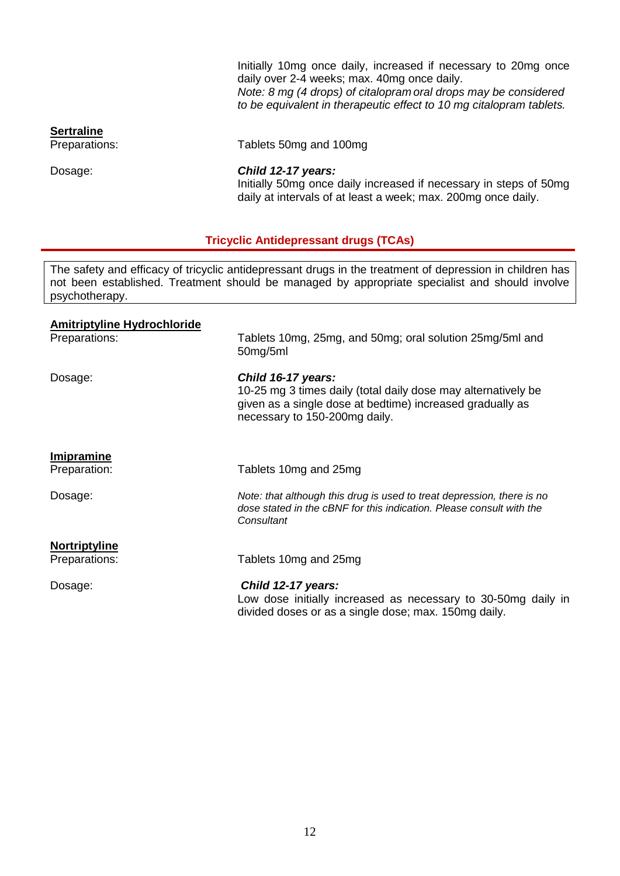Initially 10mg once daily, increased if necessary to 20mg once daily over 2-4 weeks; max. 40mg once daily. *Note: 8 mg (4 drops) of citalopram oral drops may be considered to be equivalent in therapeutic effect to 10 mg citalopram tablets.*

**Sertraline**<br>Preparations:

Tablets 50mg and 100mg

Dosage: *Child 12-17 years:*

Initially 50mg once daily increased if necessary in steps of 50mg daily at intervals of at least a week; max. 200mg once daily.

#### **Tricyclic Antidepressant drugs (TCAs)**

The safety and efficacy of tricyclic antidepressant drugs in the treatment of depression in children has not been established. Treatment should be managed by appropriate specialist and should involve psychotherapy.

| <b>Amitriptyline Hydrochloride</b><br>Preparations: | Tablets 10mg, 25mg, and 50mg; oral solution 25mg/5ml and<br>50mg/5ml                                                                                                              |
|-----------------------------------------------------|-----------------------------------------------------------------------------------------------------------------------------------------------------------------------------------|
| Dosage:                                             | Child 16-17 years:<br>10-25 mg 3 times daily (total daily dose may alternatively be<br>given as a single dose at bedtime) increased gradually as<br>necessary to 150-200mg daily. |
| Imipramine<br>Preparation:                          | Tablets 10mg and 25mg                                                                                                                                                             |
| Dosage:                                             | Note: that although this drug is used to treat depression, there is no<br>dose stated in the cBNF for this indication. Please consult with the<br>Consultant                      |
| Nortriptyline<br>Preparations:                      | Tablets 10mg and 25mg                                                                                                                                                             |
| Dosage:                                             | Child 12-17 years:<br>Low dose initially increased as necessary to 30-50mg daily in<br>divided doses or as a single dose; max. 150mg daily.                                       |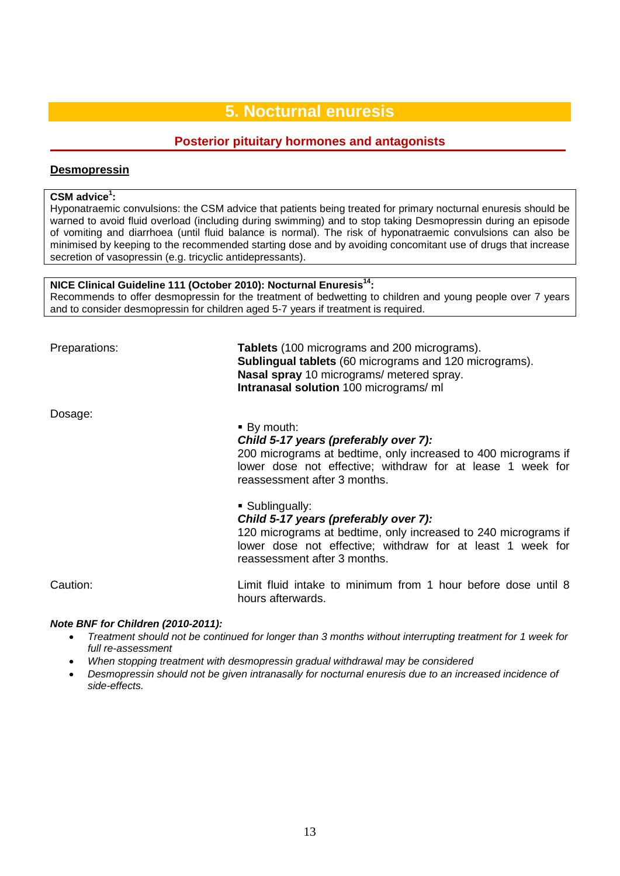### **5. Nocturnal enuresis**

#### **Posterior pituitary hormones and antagonists**

#### **Desmopressin**

#### **CSM advice1 :**

Hyponatraemic convulsions: the CSM advice that patients being treated for primary nocturnal enuresis should be warned to avoid fluid overload (including during swimming) and to stop taking Desmopressin during an episode of vomiting and diarrhoea (until fluid balance is normal). The risk of hyponatraemic convulsions can also be minimised by keeping to the recommended starting dose and by avoiding concomitant use of drugs that increase secretion of vasopressin (e.g. tricyclic antidepressants).

#### **NICE Clinical Guideline 111 (October 2010): Nocturnal Enuresis14:**

Recommends to offer desmopressin for the treatment of bedwetting to children and young people over 7 years and to consider desmopressin for children aged 5-7 years if treatment is required.

Preparations: **Tablets** (100 micrograms and 200 micrograms). **Sublingual tablets** (60 micrograms and 120 micrograms). **Nasal spray** 10 micrograms/ metered spray. **Intranasal solution** 100 micrograms/ ml

Dosage:

#### **By mouth:**

#### *Child 5-17 years (preferably over 7):*

200 micrograms at bedtime, only increased to 400 micrograms if lower dose not effective; withdraw for at lease 1 week for reassessment after 3 months.

Sublingually:

#### *Child 5-17 years (preferably over 7):*

120 micrograms at bedtime, only increased to 240 micrograms if lower dose not effective; withdraw for at least 1 week for reassessment after 3 months.

Caution: Limit fluid intake to minimum from 1 hour before dose until 8 hours afterwards.

#### *Note BNF for Children (2010-2011):*

- *Treatment should not be continued for longer than 3 months without interrupting treatment for 1 week for full re-assessment*
- *When stopping treatment with desmopressin gradual withdrawal may be considered*
- *Desmopressin should not be given intranasally for nocturnal enuresis due to an increased incidence of side-effects.*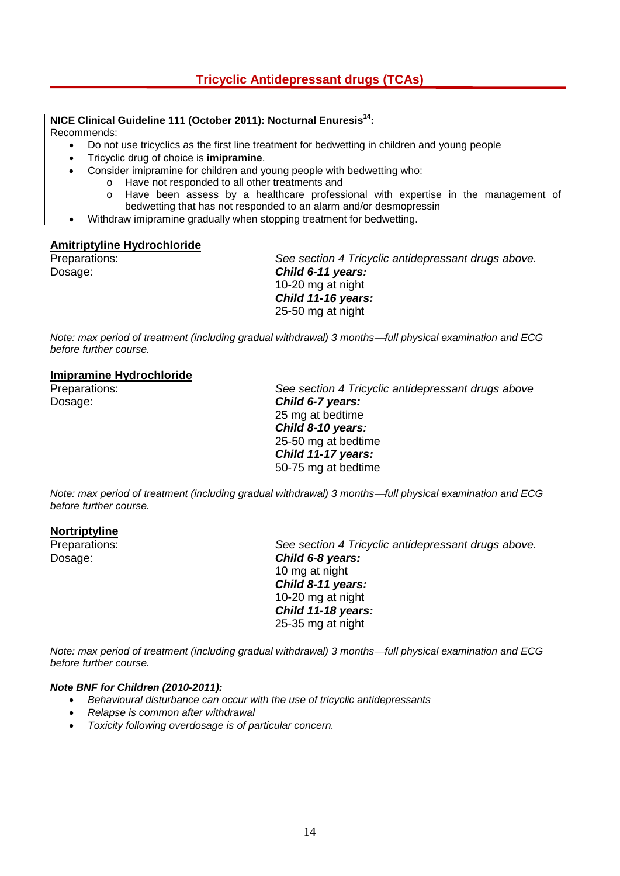#### **NICE Clinical Guideline 111 (October 2011): Nocturnal Enuresis14:**

Recommends:

- Do not use tricyclics as the first line treatment for bedwetting in children and young people
- Tricyclic drug of choice is **imipramine**.
- Consider imipramine for children and young people with bedwetting who:
	- o Have not responded to all other treatments and
	- o Have been assess by a healthcare professional with expertise in the management of bedwetting that has not responded to an alarm and/or desmopressin
- Withdraw imipramine gradually when stopping treatment for bedwetting.

# **Amitriptyline Hydrochloride**

See section 4 Tricyclic antidepressant drugs above. Dosage: *Child 6-11 years:* 10-20 mg at night *Child 11-16 years:* 25-50 mg at night

*Note: max period of treatment (including gradual withdrawal) 3 months—full physical examination and ECG before further course.* 

#### **Imipramine Hydrochloride**

Preparations: *See section 4 Tricyclic antidepressant drugs above* Dosage: *Child 6-7 years:* 25 mg at bedtime *Child 8-10 years:* 25-50 mg at bedtime *Child 11-17 years:* 50-75 mg at bedtime

*Note: max period of treatment (including gradual withdrawal) 3 monthsfull physical examination and ECG before further course.* 

#### **Nortriptyline**

Preparations: *See section 4 Tricyclic antidepressant drugs above.* Dosage: *Child 6-8 years:*  10 mg at night *Child 8-11 years:* 10-20 mg at night *Child 11-18 years:* 25-35 mg at night

*Note: max period of treatment (including gradual withdrawal) 3 monthsfull physical examination and ECG before further course.* 

#### *Note BNF for Children (2010-2011):*

- *Behavioural disturbance can occur with the use of tricyclic antidepressants*
- *Relapse is common after withdrawal*
- *Toxicity following overdosage is of particular concern.*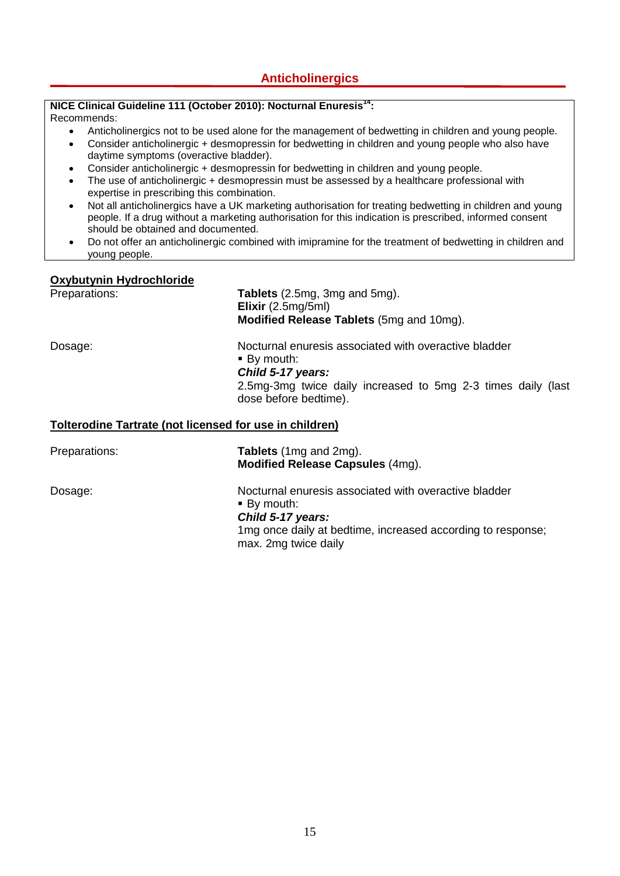#### **Anticholinergics**

#### **NICE Clinical Guideline 111 (October 2010): Nocturnal Enuresis<sup>14</sup>:**

Recommends:

- Anticholinergics not to be used alone for the management of bedwetting in children and young people.
- Consider anticholinergic + desmopressin for bedwetting in children and young people who also have daytime symptoms (overactive bladder).
- Consider anticholinergic + desmopressin for bedwetting in children and young people.
- The use of anticholinergic + desmopressin must be assessed by a healthcare professional with expertise in prescribing this combination.
- Not all anticholinergics have a UK marketing authorisation for treating bedwetting in children and young people. If a drug without a marketing authorisation for this indication is prescribed, informed consent should be obtained and documented.
- Do not offer an anticholinergic combined with imipramine for the treatment of bedwetting in children and young people.

#### **Oxybutynin Hydrochloride**

| Preparations: | Tablets (2.5mg, 3mg and 5mg).<br>Elixir (2.5mg/5ml)<br><b>Modified Release Tablets</b> (5mg and 10mg).                                                                             |  |
|---------------|------------------------------------------------------------------------------------------------------------------------------------------------------------------------------------|--|
| Dosage:       | Nocturnal enuresis associated with overactive bladder<br>■ By mouth:<br>Child 5-17 years:<br>2.5mg-3mg twice daily increased to 5mg 2-3 times daily (last<br>dose before bedtime). |  |
|               | <b>Tolterodine Tartrate (not licensed for use in children)</b>                                                                                                                     |  |
| Preparations: | <b>Tablets</b> (1mg and 2mg).<br><b>Modified Release Capsules (4mg).</b>                                                                                                           |  |
| Dosage:       | Nocturnal enuresis associated with overactive bladder<br>■ By mouth:<br>Child 5-17 years:<br>1mg once daily at bedtime, increased according to response;<br>max. 2mg twice daily   |  |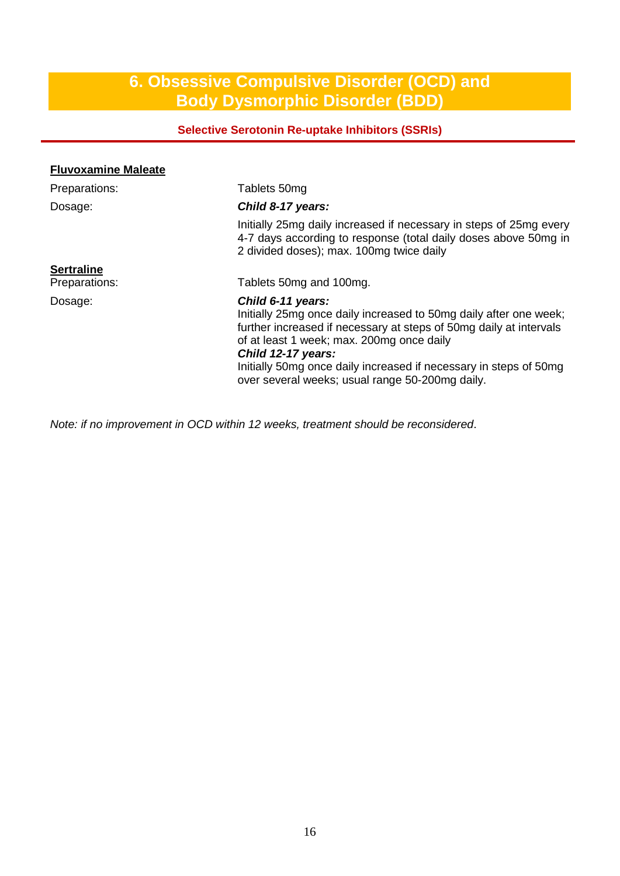### **6. Obsessive Compulsive Disorder (OCD) and Body Dysmorphic Disorder (BDD)**

#### **Selective Serotonin Re-uptake Inhibitors (SSRIs)**

| <b>Fluvoxamine Maleate</b> |                                                                                                                                                                                                                                                                                                                                                         |
|----------------------------|---------------------------------------------------------------------------------------------------------------------------------------------------------------------------------------------------------------------------------------------------------------------------------------------------------------------------------------------------------|
| Preparations:              | Tablets 50mg                                                                                                                                                                                                                                                                                                                                            |
| Dosage:                    | Child 8-17 years:                                                                                                                                                                                                                                                                                                                                       |
|                            | Initially 25mg daily increased if necessary in steps of 25mg every<br>4-7 days according to response (total daily doses above 50mg in<br>2 divided doses); max. 100mg twice daily                                                                                                                                                                       |
| <b>Sertraline</b>          |                                                                                                                                                                                                                                                                                                                                                         |
| Preparations:              | Tablets 50mg and 100mg.                                                                                                                                                                                                                                                                                                                                 |
| Dosage:                    | Child 6-11 years:<br>Initially 25mg once daily increased to 50mg daily after one week;<br>further increased if necessary at steps of 50mg daily at intervals<br>of at least 1 week; max. 200mg once daily<br>Child 12-17 years:<br>Initially 50mg once daily increased if necessary in steps of 50mg<br>over several weeks; usual range 50-200mg daily. |

*Note: if no improvement in OCD within 12 weeks, treatment should be reconsidered*.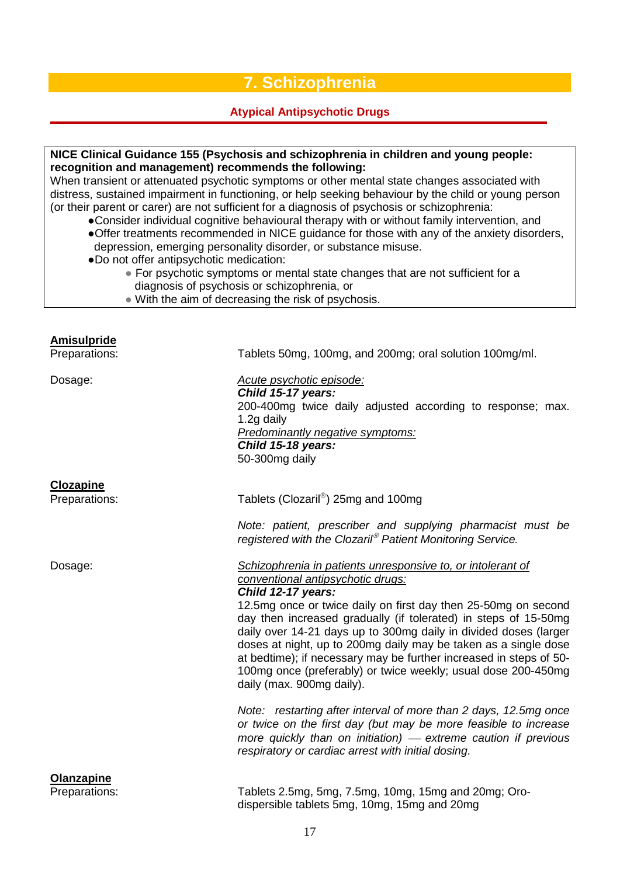### **7. Schizophrenia**

#### **Atypical Antipsychotic Drugs**

#### **NICE Clinical Guidance 155 (Psychosis and schizophrenia in children and young people: recognition and management) recommends the following:**

When transient or attenuated psychotic symptoms or other mental state changes associated with distress, sustained impairment in functioning, or help seeking behaviour by the child or young person (or their parent or carer) are not sufficient for a diagnosis of psychosis or schizophrenia:

- ●Consider individual cognitive behavioural therapy with or without family intervention, and ●Offer treatments recommended in NICE guidance for those with any of the anxiety disorders, depression, emerging personality disorder, or substance misuse.
- ●Do not offer antipsychotic medication:
	- For psychotic symptoms or mental state changes that are not sufficient for a diagnosis of psychosis or schizophrenia, or
	- With the aim of decreasing the risk of psychosis.

### **Amisulpride** Preparations: Tablets 50mg, 100mg, and 200mg; oral solution 100mg/ml. Dosage: *Acute psychotic episode: Child 15-17 years:* 200-400mg twice daily adjusted according to response; max. 1.2g daily *Predominantly negative symptoms: Child 15-18 years:* 50-300mg daily **Clozapine** Preparations: Tablets (Clozaril<sup>®</sup>) 25mg and 100mg *Note: patient, prescriber and supplying pharmacist must be registered with the Clozaril Patient Monitoring Service.* Dosage: *Schizophrenia in patients unresponsive to, or intolerant of conventional antipsychotic drugs: Child 12-17 years:* 12.5mg once or twice daily on first day then 25-50mg on second day then increased gradually (if tolerated) in steps of 15-50mg daily over 14-21 days up to 300mg daily in divided doses (larger doses at night, up to 200mg daily may be taken as a single dose at bedtime); if necessary may be further increased in steps of 50- 100mg once (preferably) or twice weekly; usual dose 200-450mg daily (max. 900mg daily). *Note: restarting after interval of more than 2 days, 12.5mg once or twice on the first day (but may be more feasible to increase more quickly than on initiation) extreme caution if previous respiratory or cardiac arrest with initial dosing*. **Olanzapine** Preparations: Tablets 2.5mg, 5mg, 7.5mg, 10mg, 15mg and 20mg; Oro-

dispersible tablets 5mg, 10mg, 15mg and 20mg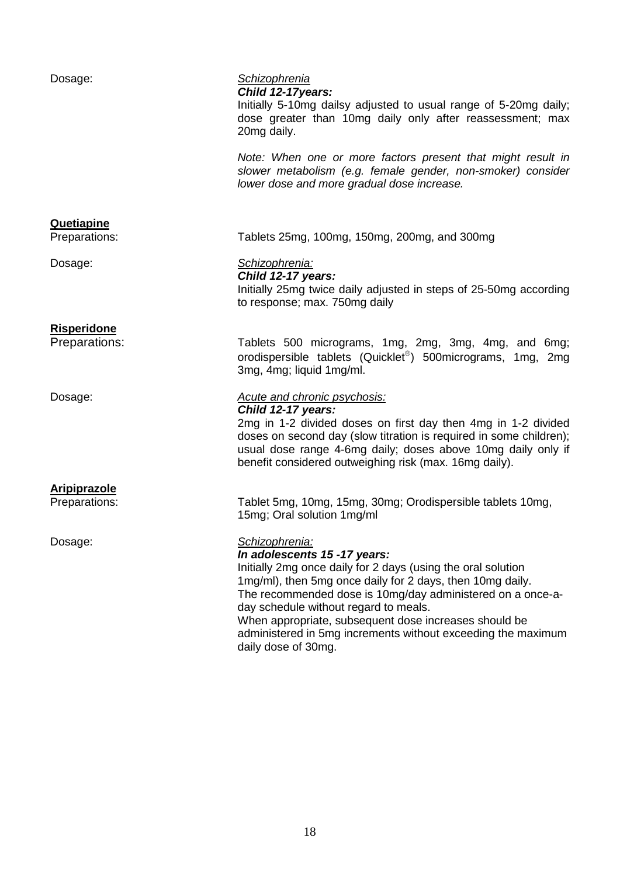| Dosage:                             | <b>Schizophrenia</b><br>Child 12-17years:<br>Initially 5-10mg dailsy adjusted to usual range of 5-20mg daily;<br>dose greater than 10mg daily only after reassessment; max<br>20mg daily.                                                                                                                                                                                                                                          |
|-------------------------------------|------------------------------------------------------------------------------------------------------------------------------------------------------------------------------------------------------------------------------------------------------------------------------------------------------------------------------------------------------------------------------------------------------------------------------------|
|                                     | Note: When one or more factors present that might result in<br>slower metabolism (e.g. female gender, non-smoker) consider<br>lower dose and more gradual dose increase.                                                                                                                                                                                                                                                           |
| <b>Quetiapine</b>                   |                                                                                                                                                                                                                                                                                                                                                                                                                                    |
| Preparations:                       | Tablets 25mg, 100mg, 150mg, 200mg, and 300mg                                                                                                                                                                                                                                                                                                                                                                                       |
| Dosage:                             | Schizophrenia:<br>Child 12-17 years:<br>Initially 25mg twice daily adjusted in steps of 25-50mg according<br>to response; max. 750mg daily                                                                                                                                                                                                                                                                                         |
| <b>Risperidone</b><br>Preparations: | Tablets 500 micrograms, 1mg, 2mg, 3mg, 4mg, and 6mg;                                                                                                                                                                                                                                                                                                                                                                               |
|                                     | orodispersible tablets (Quicklet®) 500micrograms, 1mg, 2mg<br>3mg, 4mg; liquid 1mg/ml.                                                                                                                                                                                                                                                                                                                                             |
| Dosage:                             | <b>Acute and chronic psychosis:</b><br>Child 12-17 years:<br>2mg in 1-2 divided doses on first day then 4mg in 1-2 divided<br>doses on second day (slow titration is required in some children);<br>usual dose range 4-6mg daily; doses above 10mg daily only if<br>benefit considered outweighing risk (max. 16mg daily).                                                                                                         |
| <b>Aripiprazole</b>                 |                                                                                                                                                                                                                                                                                                                                                                                                                                    |
| Preparations:                       | Tablet 5mg, 10mg, 15mg, 30mg; Orodispersible tablets 10mg,<br>15mg; Oral solution 1mg/ml                                                                                                                                                                                                                                                                                                                                           |
| Dosage:                             | Schizophrenia:<br>In adolescents 15 -17 years:<br>Initially 2mg once daily for 2 days (using the oral solution<br>1mg/ml), then 5mg once daily for 2 days, then 10mg daily.<br>The recommended dose is 10mg/day administered on a once-a-<br>day schedule without regard to meals.<br>When appropriate, subsequent dose increases should be<br>administered in 5mg increments without exceeding the maximum<br>daily dose of 30mg. |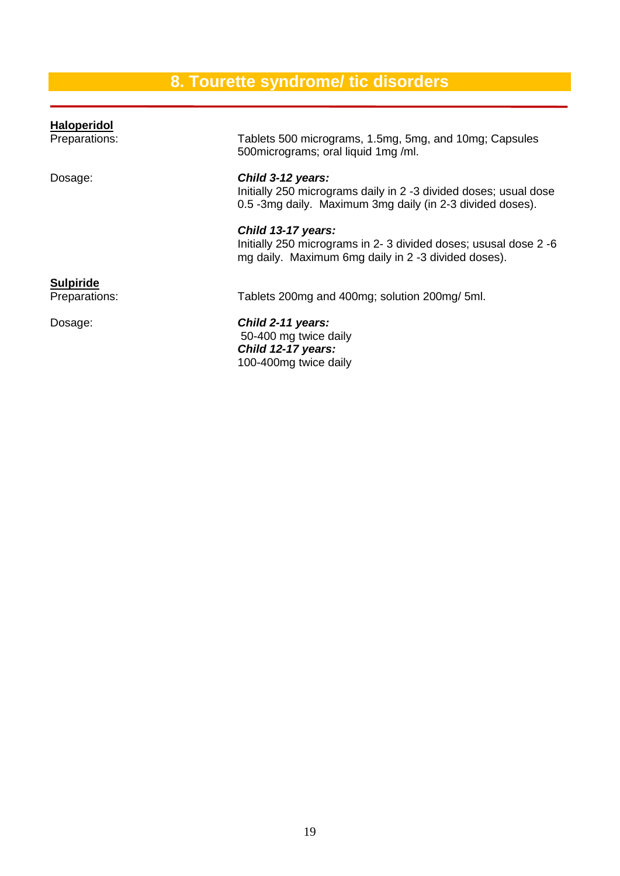# **8. Tourette syndrome/ tic disorders**

| <b>Haloperidol</b> |                                                                                                                                                    |
|--------------------|----------------------------------------------------------------------------------------------------------------------------------------------------|
| Preparations:      | Tablets 500 micrograms, 1.5mg, 5mg, and 10mg; Capsules<br>500 micrograms; oral liquid 1 mg /ml.                                                    |
| Dosage:            | Child 3-12 years:<br>Initially 250 micrograms daily in 2 -3 divided doses; usual dose<br>0.5 -3mg daily. Maximum 3mg daily (in 2-3 divided doses). |
|                    | Child 13-17 years:<br>Initially 250 micrograms in 2-3 divided doses; ususal dose 2-6<br>mg daily. Maximum 6mg daily in 2 -3 divided doses).        |
| <b>Sulpiride</b>   |                                                                                                                                                    |
| Preparations:      | Tablets 200mg and 400mg; solution 200mg/ 5ml.                                                                                                      |
| Dosage:            | Child 2-11 years:<br>50-400 mg twice daily<br>Child 12-17 years:<br>100-400mg twice daily                                                          |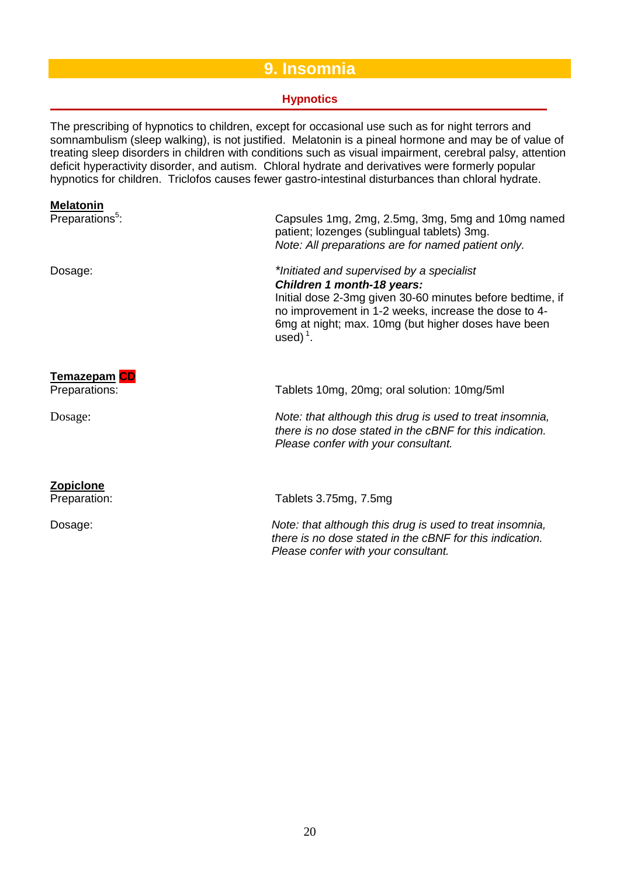### **9. Insomnia**

#### **Hypnotics**

The prescribing of hypnotics to children, except for occasional use such as for night terrors and somnambulism (sleep walking), is not justified. Melatonin is a pineal hormone and may be of value of treating sleep disorders in children with conditions such as visual impairment, cerebral palsy, attention deficit hyperactivity disorder, and autism. Chloral hydrate and derivatives were formerly popular hypnotics for children. Triclofos causes fewer gastro-intestinal disturbances than chloral hydrate.

#### **Melatonin**

Preparations<sup>5</sup>: : Capsules 1mg, 2mg, 2.5mg, 3mg, 5mg and 10mg named patient; lozenges (sublingual tablets) 3mg. *Note: All preparations are for named patient only.* Dosage: *\*Initiated and supervised by a specialist Children 1 month-18 years:* Initial dose 2-3mg given 30-60 minutes before bedtime, if no improvement in 1-2 weeks, increase the dose to 4- 6mg at night; max. 10mg (but higher doses have been used) $<sup>1</sup>$ .</sup> **Temazepam CD** Preparations: Tablets 10mg, 20mg; oral solution: 10mg/5ml Dosage: *Note: that although this drug is used to treat insomnia, there is no dose stated in the cBNF for this indication. Please confer with your consultant.* **Zopiclone**<br>Preparation: Tablets 3.75mg, 7.5mg Dosage: *Note: that although this drug is used to treat insomnia, there is no dose stated in the cBNF for this indication. Please confer with your consultant.*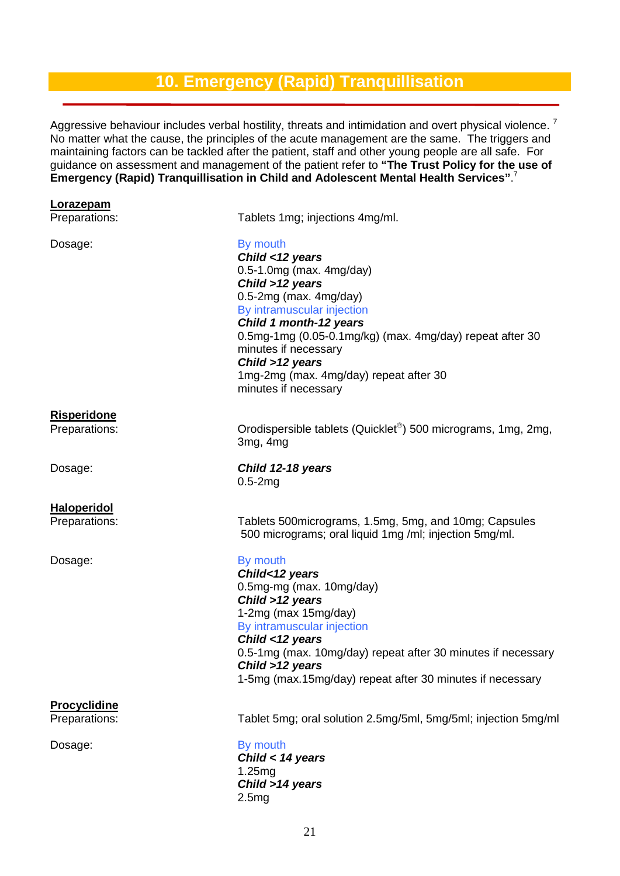### **10. Emergency (Rapid) Tranquillisation**

Aggressive behaviour includes verbal hostility, threats and intimidation and overt physical violence.<sup>7</sup> No matter what the cause, the principles of the acute management are the same. The triggers and maintaining factors can be tackled after the patient, staff and other young people are all safe. For guidance on assessment and management of the patient refer to **"The Trust Policy for the use of Emergency (Rapid) Tranquillisation in Child and Adolescent Mental Health Services"**. 7

| <b>Lorazepam</b><br>Preparations: | Tablets 1mg; injections 4mg/ml.                                                                                                                                                                                                                                                                                                            |
|-----------------------------------|--------------------------------------------------------------------------------------------------------------------------------------------------------------------------------------------------------------------------------------------------------------------------------------------------------------------------------------------|
| Dosage:                           | By mouth<br>Child <12 years<br>$0.5-1.0$ mg (max. 4mg/day)<br>Child >12 years<br>$0.5-2mg$ (max. 4mg/day)<br>By intramuscular injection<br>Child 1 month-12 years<br>0.5mg-1mg (0.05-0.1mg/kg) (max. 4mg/day) repeat after 30<br>minutes if necessary<br>Child >12 years<br>1mg-2mg (max. 4mg/day) repeat after 30<br>minutes if necessary |
| <u>Risperidone</u>                |                                                                                                                                                                                                                                                                                                                                            |
| Preparations:                     | Orodispersible tablets (Quicklet <sup>®</sup> ) 500 micrograms, 1mg, 2mg,<br>3mg, 4mg                                                                                                                                                                                                                                                      |
| Dosage:                           | Child 12-18 years<br>$0.5-2mg$                                                                                                                                                                                                                                                                                                             |
| <b>Haloperidol</b>                |                                                                                                                                                                                                                                                                                                                                            |
| Preparations:                     | Tablets 500 micrograms, 1.5mg, 5mg, and 10mg; Capsules<br>500 micrograms; oral liquid 1mg /ml; injection 5mg/ml.                                                                                                                                                                                                                           |
| Dosage:                           | By mouth<br>Child<12 years<br>0.5mg-mg (max. 10mg/day)<br>Child >12 years<br>1-2mg (max 15mg/day)<br>By intramuscular injection<br>Child <12 years<br>0.5-1mg (max. 10mg/day) repeat after 30 minutes if necessary<br>Child >12 years<br>1-5mg (max.15mg/day) repeat after 30 minutes if necessary                                         |
| <b>Procyclidine</b>               |                                                                                                                                                                                                                                                                                                                                            |
| Preparations:                     | Tablet 5mg; oral solution 2.5mg/5ml, 5mg/5ml; injection 5mg/ml                                                                                                                                                                                                                                                                             |
| Dosage:                           | By mouth<br>Child < 14 years<br>1.25mg<br>Child >14 years<br>2.5mg                                                                                                                                                                                                                                                                         |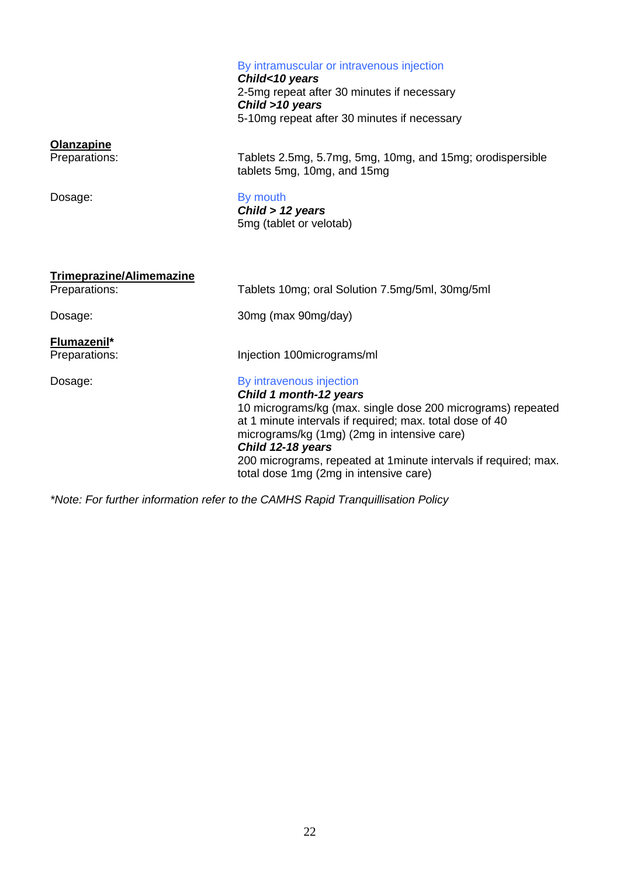#### By intramuscular or intravenous injection

*Child<10 years* 2-5mg repeat after 30 minutes if necessary *Child >10 years* 5-10mg repeat after 30 minutes if necessary

# **Olanzapine**<br>Preparations:

Tablets 2.5mg, 5.7mg, 5mg, 10mg, and 15mg; orodispersible tablets 5mg, 10mg, and 15mg

#### Dosage: By mouth

*Child > 12 years* 5mg (tablet or velotab)

| <b>Trimeprazine/Alimemazine</b> |                                                                                                                                                                                                                                                                                                                                                                 |
|---------------------------------|-----------------------------------------------------------------------------------------------------------------------------------------------------------------------------------------------------------------------------------------------------------------------------------------------------------------------------------------------------------------|
| Preparations:                   | Tablets 10mg; oral Solution 7.5mg/5ml, 30mg/5ml                                                                                                                                                                                                                                                                                                                 |
| Dosage:                         | 30mg (max 90mg/day)                                                                                                                                                                                                                                                                                                                                             |
| Flumazenil*<br>Preparations:    | Injection 100micrograms/ml                                                                                                                                                                                                                                                                                                                                      |
|                                 |                                                                                                                                                                                                                                                                                                                                                                 |
| Dosage:                         | By intravenous injection<br>Child 1 month-12 years<br>10 micrograms/kg (max. single dose 200 micrograms) repeated<br>at 1 minute intervals if required; max. total dose of 40<br>micrograms/kg (1mg) (2mg in intensive care)<br>Child 12-18 years<br>200 micrograms, repeated at 1 minute intervals if required; max.<br>total dose 1mg (2mg in intensive care) |

*\*Note: For further information refer to the CAMHS Rapid Tranquillisation Policy*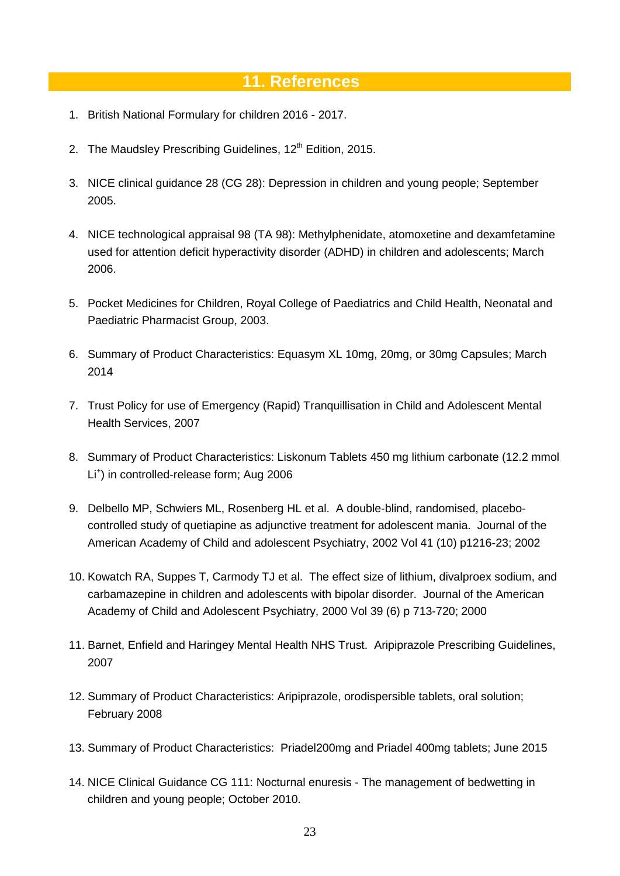### **11. References**

- 1. British National Formulary for children 2016 2017.
- 2. The Maudsley Prescribing Guidelines, 12<sup>th</sup> Edition, 2015.
- 3. NICE clinical guidance 28 (CG 28): Depression in children and young people; September 2005.
- 4. NICE technological appraisal 98 (TA 98): Methylphenidate, atomoxetine and dexamfetamine used for attention deficit hyperactivity disorder (ADHD) in children and adolescents; March 2006.
- 5. Pocket Medicines for Children, Royal College of Paediatrics and Child Health, Neonatal and Paediatric Pharmacist Group, 2003.
- 6. Summary of Product Characteristics: Equasym XL 10mg, 20mg, or 30mg Capsules; March 2014
- 7. Trust Policy for use of Emergency (Rapid) Tranquillisation in Child and Adolescent Mental Health Services, 2007
- 8. Summary of Product Characteristics: Liskonum Tablets 450 mg lithium carbonate (12.2 mmol Li+ ) in controlled-release form; Aug 2006
- 9. Delbello MP, Schwiers ML, Rosenberg HL et al. A double-blind, randomised, placebocontrolled study of quetiapine as adjunctive treatment for adolescent mania. Journal of the American Academy of Child and adolescent Psychiatry, 2002 Vol 41 (10) p1216-23; 2002
- 10. Kowatch RA, Suppes T, Carmody TJ et al. The effect size of lithium, divalproex sodium, and carbamazepine in children and adolescents with bipolar disorder. Journal of the American Academy of Child and Adolescent Psychiatry, 2000 Vol 39 (6) p 713-720; 2000
- 11. Barnet, Enfield and Haringey Mental Health NHS Trust. Aripiprazole Prescribing Guidelines, 2007
- 12. Summary of Product Characteristics: Aripiprazole, orodispersible tablets, oral solution; February 2008
- 13. Summary of Product Characteristics: Priadel200mg and Priadel 400mg tablets; June 2015
- 14. NICE Clinical Guidance CG 111: Nocturnal enuresis The management of bedwetting in children and young people; October 2010.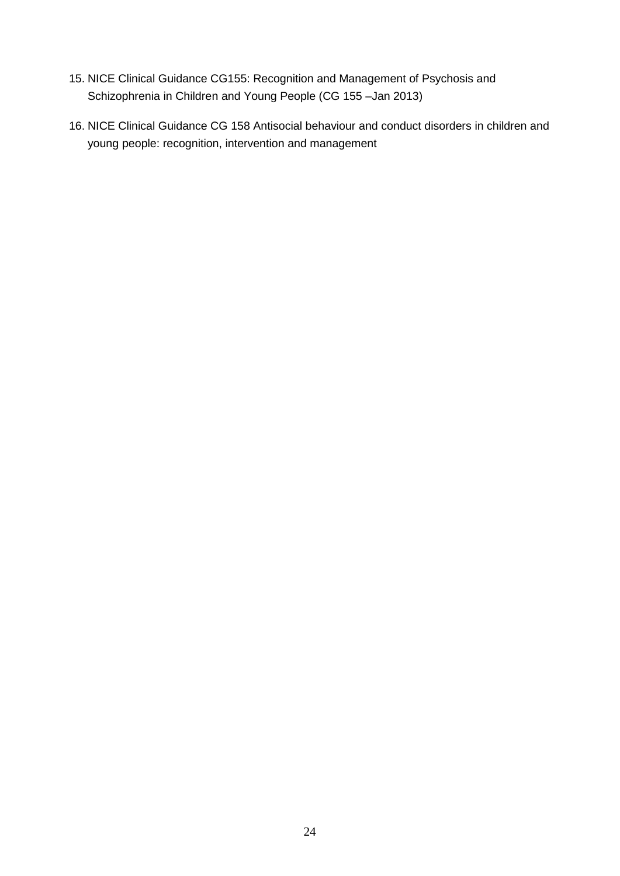- 15. NICE Clinical Guidance CG155: Recognition and Management of Psychosis and Schizophrenia in Children and Young People (CG 155 –Jan 2013)
- 16. NICE Clinical Guidance CG 158 Antisocial behaviour and conduct disorders in children and young people: recognition, intervention and management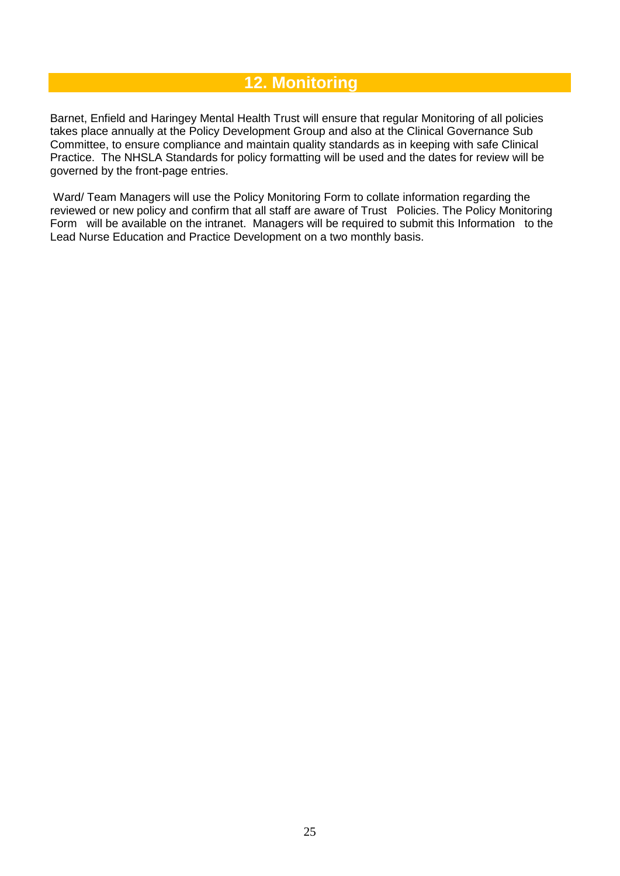### **12. Monitoring**

Barnet, Enfield and Haringey Mental Health Trust will ensure that regular Monitoring of all policies takes place annually at the Policy Development Group and also at the Clinical Governance Sub Committee, to ensure compliance and maintain quality standards as in keeping with safe Clinical Practice. The NHSLA Standards for policy formatting will be used and the dates for review will be governed by the front-page entries.

Ward/ Team Managers will use the Policy Monitoring Form to collate information regarding the reviewed or new policy and confirm that all staff are aware of Trust Policies. The Policy Monitoring Form will be available on the intranet. Managers will be required to submit this Information to the Lead Nurse Education and Practice Development on a two monthly basis.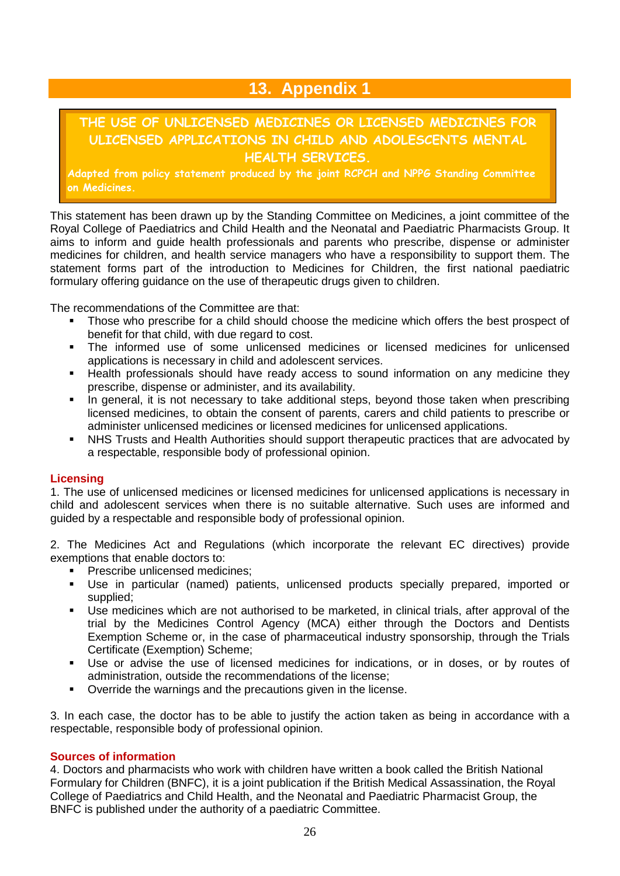### **13. Appendix 1**

### **THE USE OF UNLICENSED MEDICINES OR LICENSED MEDICINES FOR ULICENSED APPLICATIONS IN CHILD AND ADOLESCENTS MENTAL HEALTH SERVICES.**

**Adapted from policy statement produced by the joint RCPCH and NPPG Standing Committee on Medicines.**

This statement has been drawn up by the Standing Committee on Medicines, a joint committee of the Royal College of Paediatrics and Child Health and the Neonatal and Paediatric Pharmacists Group. It aims to inform and guide health professionals and parents who prescribe, dispense or administer medicines for children, and health service managers who have a responsibility to support them. The statement forms part of the introduction to Medicines for Children, the first national paediatric formulary offering guidance on the use of therapeutic drugs given to children.

The recommendations of the Committee are that:

- Those who prescribe for a child should choose the medicine which offers the best prospect of benefit for that child, with due regard to cost.
- The informed use of some unlicensed medicines or licensed medicines for unlicensed applications is necessary in child and adolescent services.
- Health professionals should have ready access to sound information on any medicine they prescribe, dispense or administer, and its availability.
- In general, it is not necessary to take additional steps, beyond those taken when prescribing licensed medicines, to obtain the consent of parents, carers and child patients to prescribe or administer unlicensed medicines or licensed medicines for unlicensed applications.
- NHS Trusts and Health Authorities should support therapeutic practices that are advocated by a respectable, responsible body of professional opinion.

#### **Licensing**

1. The use of unlicensed medicines or licensed medicines for unlicensed applications is necessary in child and adolescent services when there is no suitable alternative. Such uses are informed and guided by a respectable and responsible body of professional opinion.

2. The Medicines Act and Regulations (which incorporate the relevant EC directives) provide exemptions that enable doctors to:

- Prescribe unlicensed medicines;
- Use in particular (named) patients, unlicensed products specially prepared, imported or supplied;
- Use medicines which are not authorised to be marketed, in clinical trials, after approval of the trial by the Medicines Control Agency (MCA) either through the Doctors and Dentists Exemption Scheme or, in the case of pharmaceutical industry sponsorship, through the Trials Certificate (Exemption) Scheme;
- Use or advise the use of licensed medicines for indications, or in doses, or by routes of administration, outside the recommendations of the license;
- Override the warnings and the precautions given in the license.

3. In each case, the doctor has to be able to justify the action taken as being in accordance with a respectable, responsible body of professional opinion.

#### **Sources of information**

4. Doctors and pharmacists who work with children have written a book called the British National Formulary for Children (BNFC), it is a joint publication if the British Medical Assassination, the Royal College of Paediatrics and Child Health, and the Neonatal and Paediatric Pharmacist Group, the BNFC is published under the authority of a paediatric Committee.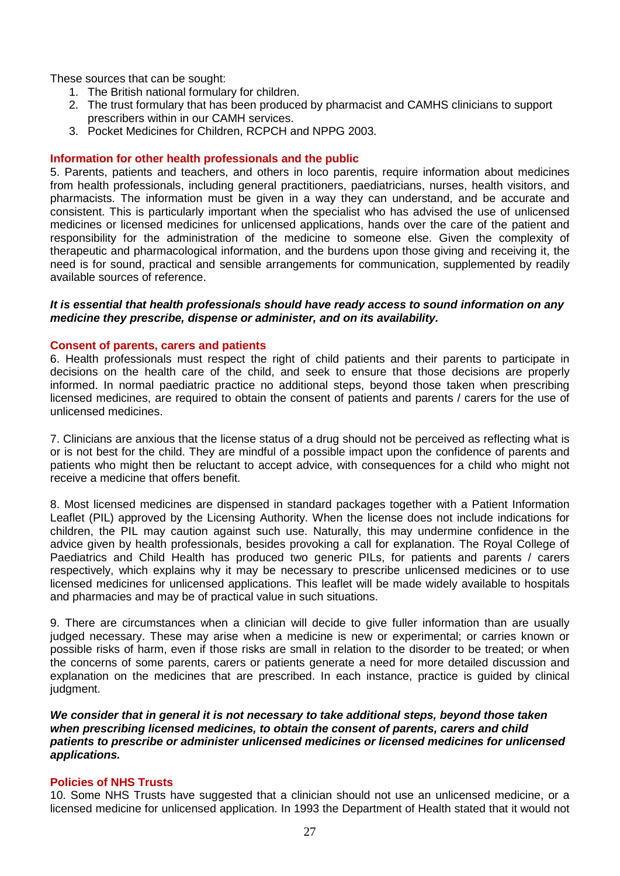These sources that can be sought:

- 1. The British national formulary for children.
- 2. The trust formulary that has been produced by pharmacist and CAMHS clinicians to support prescribers within in our CAMH services.
- 3. Pocket Medicines for Children, RCPCH and NPPG 2003.

#### **Information for other health professionals and the public**

5. Parents, patients and teachers, and others in loco parentis, require information about medicines from health professionals, including general practitioners, paediatricians, nurses, health visitors, and pharmacists. The information must be given in a way they can understand, and be accurate and consistent. This is particularly important when the specialist who has advised the use of unlicensed medicines or licensed medicines for unlicensed applications, hands over the care of the patient and responsibility for the administration of the medicine to someone else. Given the complexity of therapeutic and pharmacological information, and the burdens upon those giving and receiving it, the need is for sound, practical and sensible arrangements for communication, supplemented by readily available sources of reference.

#### *It is essential that health professionals should have ready access to sound information on any medicine they prescribe, dispense or administer, and on its availability.*

#### **Consent of parents, carers and patients**

6. Health professionals must respect the right of child patients and their parents to participate in decisions on the health care of the child, and seek to ensure that those decisions are properly informed. In normal paediatric practice no additional steps, beyond those taken when prescribing licensed medicines, are required to obtain the consent of patients and parents / carers for the use of unlicensed medicines.

7. Clinicians are anxious that the license status of a drug should not be perceived as reflecting what is or is not best for the child. They are mindful of a possible impact upon the confidence of parents and patients who might then be reluctant to accept advice, with consequences for a child who might not receive a medicine that offers benefit.

8. Most licensed medicines are dispensed in standard packages together with a Patient Information Leaflet (PIL) approved by the Licensing Authority. When the license does not include indications for children, the PIL may caution against such use. Naturally, this may undermine confidence in the advice given by health professionals, besides provoking a call for explanation. The Royal College of Paediatrics and Child Health has produced two generic PILs, for patients and parents / carers respectively, which explains why it may be necessary to prescribe unlicensed medicines or to use licensed medicines for unlicensed applications. This leaflet will be made widely available to hospitals and pharmacies and may be of practical value in such situations.

9. There are circumstances when a clinician will decide to give fuller information than are usually judged necessary. These may arise when a medicine is new or experimental; or carries known or possible risks of harm, even if those risks are small in relation to the disorder to be treated; or when the concerns of some parents, carers or patients generate a need for more detailed discussion and explanation on the medicines that are prescribed. In each instance, practice is guided by clinical judament.

*We consider that in general it is not necessary to take additional steps, beyond those taken when prescribing licensed medicines, to obtain the consent of parents, carers and child patients to prescribe or administer unlicensed medicines or licensed medicines for unlicensed applications.*

#### **Policies of NHS Trusts**

10. Some NHS Trusts have suggested that a clinician should not use an unlicensed medicine, or a licensed medicine for unlicensed application. In 1993 the Department of Health stated that it would not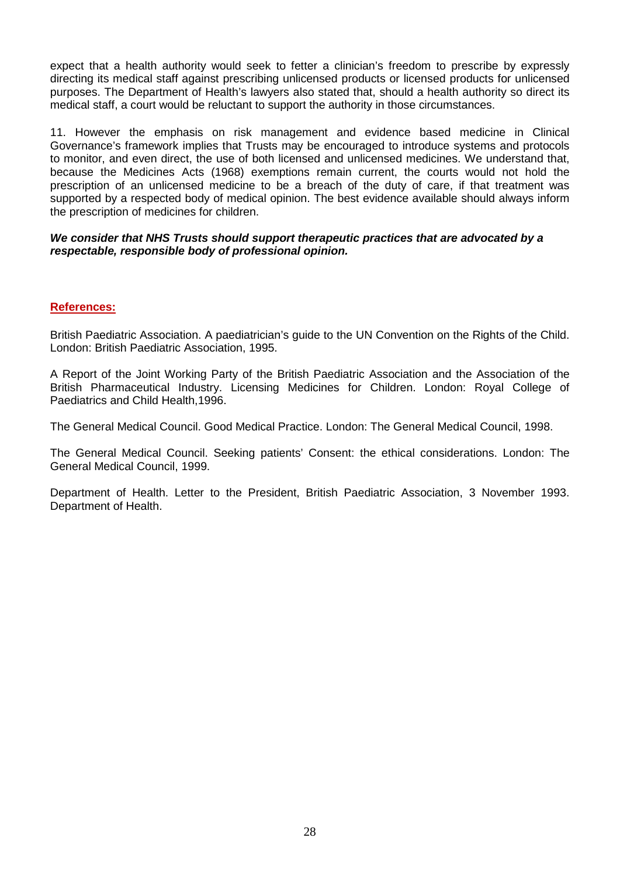expect that a health authority would seek to fetter a clinician's freedom to prescribe by expressly directing its medical staff against prescribing unlicensed products or licensed products for unlicensed purposes. The Department of Health's lawyers also stated that, should a health authority so direct its medical staff, a court would be reluctant to support the authority in those circumstances.

11. However the emphasis on risk management and evidence based medicine in Clinical Governance's framework implies that Trusts may be encouraged to introduce systems and protocols to monitor, and even direct, the use of both licensed and unlicensed medicines. We understand that, because the Medicines Acts (1968) exemptions remain current, the courts would not hold the prescription of an unlicensed medicine to be a breach of the duty of care, if that treatment was supported by a respected body of medical opinion. The best evidence available should always inform the prescription of medicines for children.

#### *We consider that NHS Trusts should support therapeutic practices that are advocated by a respectable, responsible body of professional opinion.*

#### **References:**

British Paediatric Association. A paediatrician's guide to the UN Convention on the Rights of the Child. London: British Paediatric Association, 1995.

A Report of the Joint Working Party of the British Paediatric Association and the Association of the British Pharmaceutical Industry. Licensing Medicines for Children. London: Royal College of Paediatrics and Child Health,1996.

The General Medical Council. Good Medical Practice. London: The General Medical Council, 1998.

The General Medical Council. Seeking patients' Consent: the ethical considerations. London: The General Medical Council, 1999.

Department of Health. Letter to the President, British Paediatric Association, 3 November 1993. Department of Health.